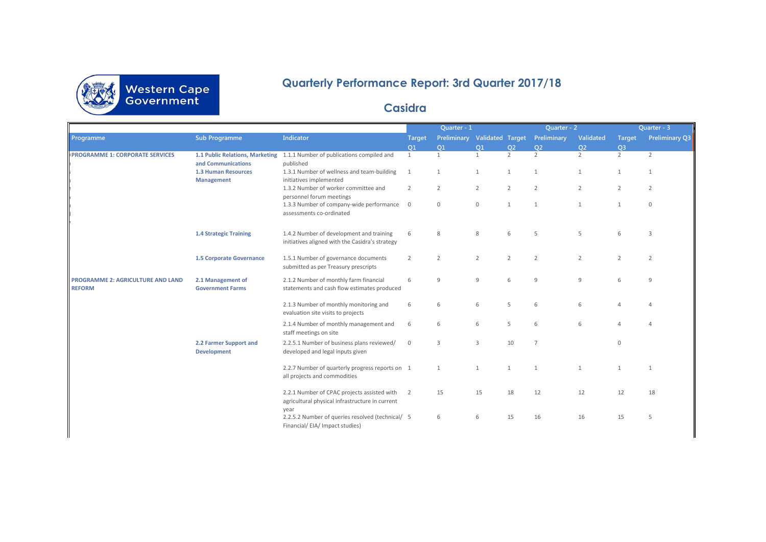

## **Quarterly Performance Report: 3rd Quarter 2017/18**

## **Casidra**

|                                                    |                                              |                                                                                                  | Quarter - 1    |                |                  | Quarter - 2    |                |                | Quarter - 3    |                |
|----------------------------------------------------|----------------------------------------------|--------------------------------------------------------------------------------------------------|----------------|----------------|------------------|----------------|----------------|----------------|----------------|----------------|
| Programme                                          | <b>Sub Programme</b>                         | <b>Indicator</b>                                                                                 | <b>Target</b>  | Preliminary    | Validated Target |                | Preliminary    | Validated      | <b>Target</b>  | Preliminary Q3 |
|                                                    |                                              |                                                                                                  | O <sub>1</sub> | O1             | O1               | O <sub>2</sub> | O <sub>2</sub> | O <sub>2</sub> | Q <sub>3</sub> |                |
| <b>PROGRAMME 1: CORPORATE SERVICES</b>             | 1.1 Public Relations, Marketing              | 1.1.1 Number of publications compiled and                                                        | 1              | $\mathbf{1}$   | 1                | $\overline{2}$ | $\overline{2}$ | $\overline{2}$ | $\overline{2}$ | 2              |
|                                                    | and Communications                           | published                                                                                        |                |                |                  |                |                |                |                |                |
|                                                    | <b>1.3 Human Resources</b>                   | 1.3.1 Number of wellness and team-building                                                       | $\overline{1}$ | 1              | 1                | $\mathbf{1}$   | 1              | 1              | $\mathbf{1}$   | $\mathbf{1}$   |
|                                                    | <b>Management</b>                            | initiatives implemented                                                                          |                |                |                  |                |                |                |                |                |
|                                                    |                                              | 1.3.2 Number of worker committee and<br>personnel forum meetings                                 | $\overline{2}$ | $\overline{2}$ | $\overline{2}$   | $\overline{2}$ | $\overline{2}$ | $\overline{2}$ | $\overline{2}$ | $\overline{2}$ |
|                                                    |                                              | 1.3.3 Number of company-wide performance                                                         | $\overline{0}$ | $\mathbf 0$    | $\mathbf{0}$     | $\mathbf{1}$   | $\overline{1}$ | 1              | $\mathbf{1}$   | $\mathbf 0$    |
|                                                    |                                              | assessments co-ordinated                                                                         |                |                |                  |                |                |                |                |                |
|                                                    | <b>1.4 Strategic Training</b>                | 1.4.2 Number of development and training                                                         | 6              | 8              | 8                | 6              | 5              | 5              | 6              | 3              |
|                                                    |                                              | initiatives aligned with the Casidra's strategy                                                  |                |                |                  |                |                |                |                |                |
|                                                    | 1.5 Corporate Governance                     | 1.5.1 Number of governance documents                                                             | 2              | $\overline{2}$ | $\overline{2}$   | $\overline{2}$ | $\overline{2}$ | $\overline{2}$ | $\overline{2}$ | $\overline{2}$ |
|                                                    |                                              | submitted as per Treasury prescripts                                                             |                |                |                  |                |                |                |                |                |
| PROGRAMME 2: AGRICULTURE AND LAND<br><b>REFORM</b> | 2.1 Management of<br><b>Government Farms</b> | 2.1.2 Number of monthly farm financial<br>statements and cash flow estimates produced            | 6              | 9              | 9                | 6              | $\overline{9}$ | 9              | 6              | $\overline{9}$ |
|                                                    |                                              | 2.1.3 Number of monthly monitoring and<br>evaluation site visits to projects                     | 6              | 6              | 6                | 5              | 6              | 6              | $\Delta$       | $\Delta$       |
|                                                    |                                              | 2.1.4 Number of monthly management and<br>staff meetings on site                                 | 6              | 6              | 6                | 5              | 6              | 6              | $\Delta$       | $\Delta$       |
|                                                    | 2.2 Farmer Support and<br><b>Development</b> | 2.2.5.1 Number of business plans reviewed/<br>developed and legal inputs given                   | $\mathbf 0$    | 3              | 3                | 10             | $\overline{7}$ |                | $\Omega$       |                |
|                                                    |                                              | 2.2.7 Number of quarterly progress reports on 1<br>all projects and commodities                  |                | 1              | 1                | $\mathbf{1}$   | $\overline{1}$ | $\mathbf{1}$   | $\mathbf{1}$   | $\mathbf{1}$   |
|                                                    |                                              | 2.2.1 Number of CPAC projects assisted with 2<br>agricultural physical infrastructure in current |                | 15             | 15               | 18             | 12             | 12             | 12             | 18             |
|                                                    |                                              | year<br>2.2.5.2 Number of queries resolved (technical/ 5<br>Financial/ EIA/ Impact studies)      |                | 6              | 6                | 15             | 16             | 16             | 15             | 5              |
|                                                    |                                              |                                                                                                  |                |                |                  |                |                |                |                |                |